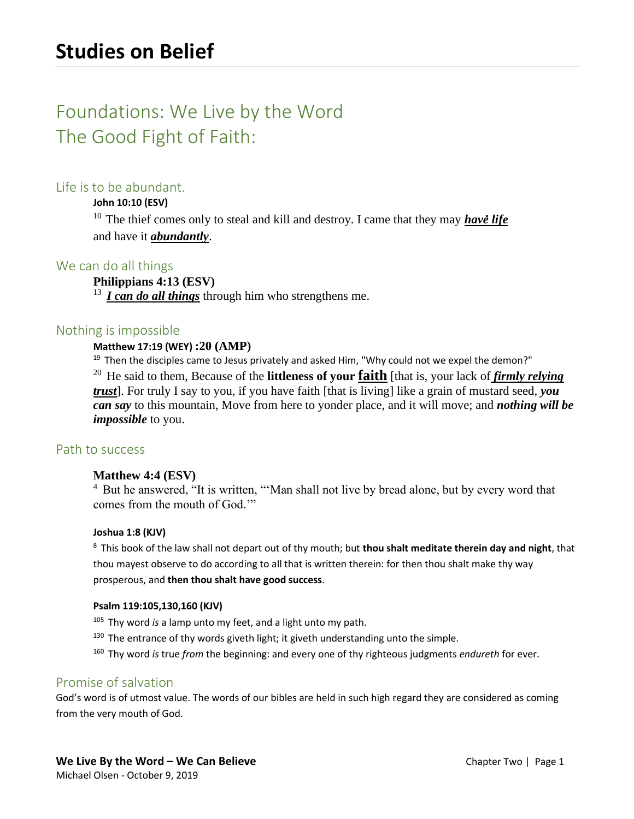# Foundations: We Live by the Word The Good Fight of Faith:

# Life is to be abundant.

### **John 10:10 (ESV)**

<sup>10</sup> The thief comes only to steal and kill and destroy. I came that they may **have life** and have it *abundantly*.

# We can do all things

### **Philippians 4:13 (ESV)**

<sup>13</sup> *I can do all things* through him who strengthens me.

## Nothing is impossible

### **Matthew 17:19 (WEY) :20 (AMP)**

 $19$  Then the disciples came to Jesus privately and asked Him, "Why could not we expel the demon?" <sup>20</sup> He said to them, Because of the **littleness of your faith** [that is, your lack of *firmly relying trust*]. For truly I say to you, if you have faith [that is living] like a grain of mustard seed, *you can say* to this mountain, Move from here to yonder place, and it will move; and *nothing will be impossible* to you.

# Path to success

### **Matthew 4:4 (ESV)**

<sup>4</sup> But he answered, "It is written, "'Man shall not live by bread alone, but by every word that comes from the mouth of God.'"

### **Joshua 1:8 (KJV)**

<sup>8</sup>This book of the law shall not depart out of thy mouth; but **thou shalt meditate therein day and night**, that thou mayest observe to do according to all that is written therein: for then thou shalt make thy way prosperous, and **then thou shalt have good success**.

### **Psalm 119:105,130,160 (KJV)**

- <sup>105</sup> Thy word *is* a lamp unto my feet, and a light unto my path.
- $130$  The entrance of thy words giveth light; it giveth understanding unto the simple.
- <sup>160</sup>Thy word *is* true *from* the beginning: and every one of thy righteous judgments *endureth* for ever.

# Promise of salvation

God's word is of utmost value. The words of our bibles are held in such high regard they are considered as coming from the very mouth of God.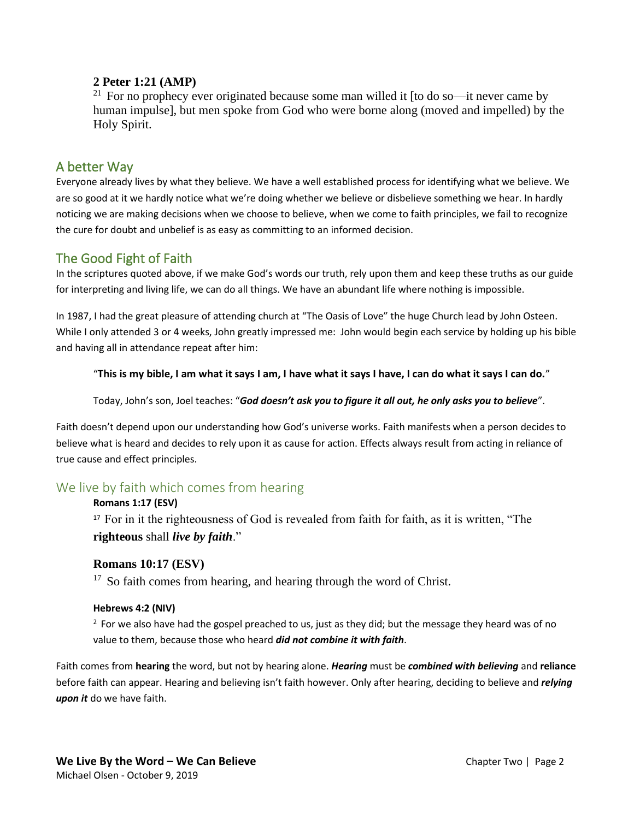### **2 Peter 1:21 (AMP)**

<sup>21</sup> For no prophecy ever originated because some man willed it [to do so—it never came by human impulse], but men spoke from God who were borne along (moved and impelled) by the Holy Spirit.

# A better Way

Everyone already lives by what they believe. We have a well established process for identifying what we believe. We are so good at it we hardly notice what we're doing whether we believe or disbelieve something we hear. In hardly noticing we are making decisions when we choose to believe, when we come to faith principles, we fail to recognize the cure for doubt and unbelief is as easy as committing to an informed decision.

# The Good Fight of Faith

In the scriptures quoted above, if we make God's words our truth, rely upon them and keep these truths as our guide for interpreting and living life, we can do all things. We have an abundant life where nothing is impossible.

In 1987, I had the great pleasure of attending church at "The Oasis of Love" the huge Church lead by John Osteen. While I only attended 3 or 4 weeks, John greatly impressed me: John would begin each service by holding up his bible and having all in attendance repeat after him:

### "**This is my bible, I am what it says I am, I have what it says I have, I can do what it says I can do.**"

Today, John's son, Joel teaches: "*God doesn't ask you to figure it all out, he only asks you to believe*".

Faith doesn't depend upon our understanding how God's universe works. Faith manifests when a person decides to believe what is heard and decides to rely upon it as cause for action. Effects always result from acting in reliance of true cause and effect principles.

# We live by faith which comes from hearing

### **Romans 1:17 (ESV)**

<sup>17</sup> For in it the righteousness of God is revealed from faith for faith, as it is written, "The **righteous** shall *live by faith*."

### **Romans 10:17 (ESV)**

 $17$  So faith comes from hearing, and hearing through the word of Christ.

### **Hebrews 4:2 (NIV)**

 $2$  For we also have had the gospel preached to us, just as they did; but the message they heard was of no value to them, because those who heard *did not combine it with faith*.

Faith comes from **hearing** the word, but not by hearing alone. *Hearing* must be *combined with believing* and **reliance** before faith can appear. Hearing and believing isn't faith however. Only after hearing, deciding to believe and *relying upon it* do we have faith.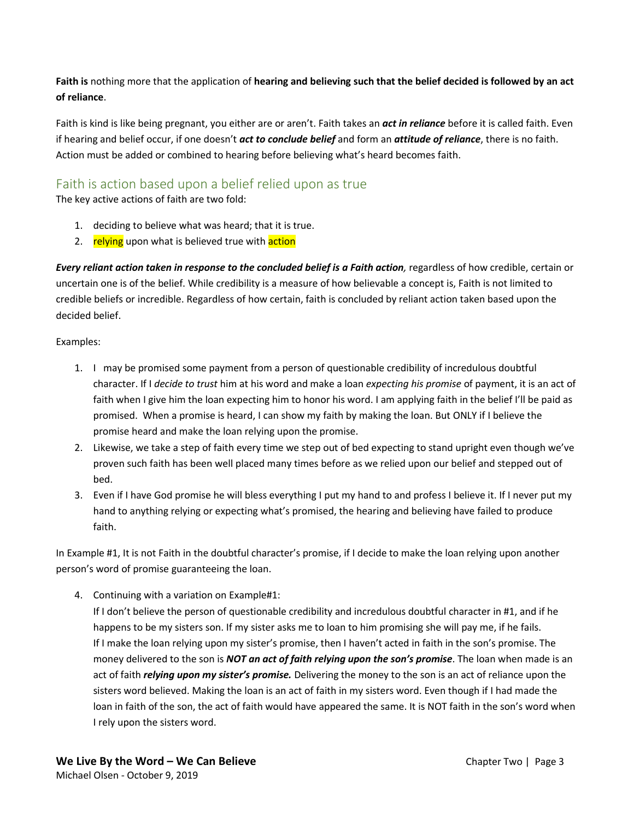**Faith is** nothing more that the application of **hearing and believing such that the belief decided is followed by an act of reliance**.

Faith is kind is like being pregnant, you either are or aren't. Faith takes an *act in reliance* before it is called faith. Even if hearing and belief occur, if one doesn't *act to conclude belief* and form an *attitude of reliance*, there is no faith. Action must be added or combined to hearing before believing what's heard becomes faith.

# Faith is action based upon a belief relied upon as true

The key active actions of faith are two fold:

- 1. deciding to believe what was heard; that it is true.
- 2. relying upon what is believed true with action

*Every reliant action taken in response to the concluded belief is a Faith action, regardless of how credible, certain or* uncertain one is of the belief. While credibility is a measure of how believable a concept is, Faith is not limited to credible beliefs or incredible. Regardless of how certain, faith is concluded by reliant action taken based upon the decided belief.

Examples:

- 1. I may be promised some payment from a person of questionable credibility of incredulous doubtful character. If I *decide to trust* him at his word and make a loan *expecting his promise* of payment, it is an act of faith when I give him the loan expecting him to honor his word. I am applying faith in the belief I'll be paid as promised. When a promise is heard, I can show my faith by making the loan. But ONLY if I believe the promise heard and make the loan relying upon the promise.
- 2. Likewise, we take a step of faith every time we step out of bed expecting to stand upright even though we've proven such faith has been well placed many times before as we relied upon our belief and stepped out of bed.
- 3. Even if I have God promise he will bless everything I put my hand to and profess I believe it. If I never put my hand to anything relying or expecting what's promised, the hearing and believing have failed to produce faith.

In Example #1, It is not Faith in the doubtful character's promise, if I decide to make the loan relying upon another person's word of promise guaranteeing the loan.

4. Continuing with a variation on Example#1:

If I don't believe the person of questionable credibility and incredulous doubtful character in #1, and if he happens to be my sisters son. If my sister asks me to loan to him promising she will pay me, if he fails. If I make the loan relying upon my sister's promise, then I haven't acted in faith in the son's promise. The money delivered to the son is *NOT an act of faith relying upon the son's promise*. The loan when made is an act of faith *relying upon my sister's promise.* Delivering the money to the son is an act of reliance upon the sisters word believed. Making the loan is an act of faith in my sisters word. Even though if I had made the loan in faith of the son, the act of faith would have appeared the same. It is NOT faith in the son's word when I rely upon the sisters word.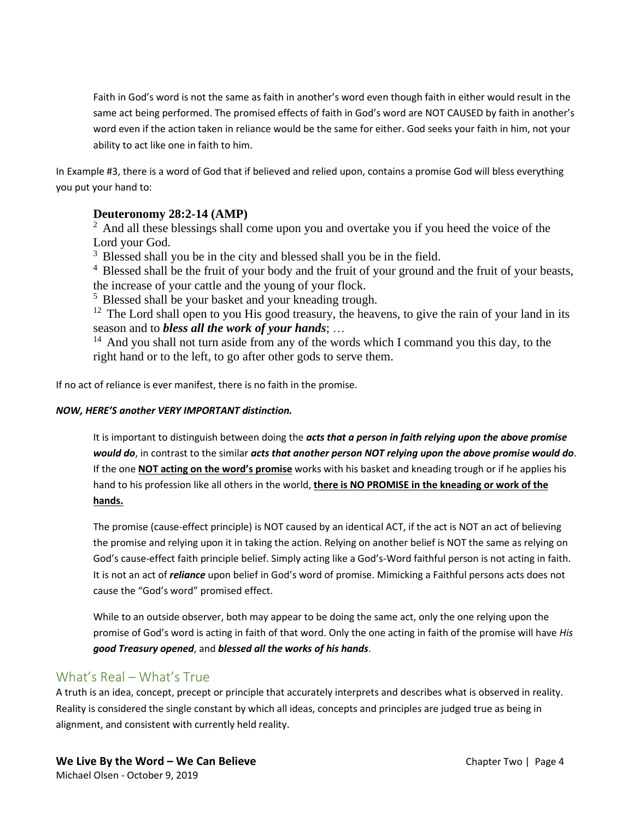Faith in God's word is not the same as faith in another's word even though faith in either would result in the same act being performed. The promised effects of faith in God's word are NOT CAUSED by faith in another's word even if the action taken in reliance would be the same for either. God seeks your faith in him, not your ability to act like one in faith to him.

In Example #3, there is a word of God that if believed and relied upon, contains a promise God will bless everything you put your hand to:

## **Deuteronomy 28:2-14 (AMP)**

<sup>2</sup> And all these blessings shall come upon you and overtake you if you heed the voice of the Lord your God.

 $3$  Blessed shall you be in the city and blessed shall you be in the field.

 $4$  Blessed shall be the fruit of your body and the fruit of your ground and the fruit of your beasts, the increase of your cattle and the young of your flock.

<sup>5</sup> Blessed shall be your basket and your kneading trough.

 $12$  The Lord shall open to you His good treasury, the heavens, to give the rain of your land in its season and to *bless all the work of your hands*; …

 $14$  And you shall not turn aside from any of the words which I command you this day, to the right hand or to the left, to go after other gods to serve them.

If no act of reliance is ever manifest, there is no faith in the promise.

### *NOW, HERE'S another VERY IMPORTANT distinction.*

It is important to distinguish between doing the *acts that a person in faith relying upon the above promise would do*, in contrast to the similar *acts that another person NOT relying upon the above promise would do*. If the one **NOT acting on the word's promise** works with his basket and kneading trough or if he applies his hand to his profession like all others in the world, **there is NO PROMISE in the kneading or work of the hands.**

The promise (cause-effect principle) is NOT caused by an identical ACT, if the act is NOT an act of believing the promise and relying upon it in taking the action. Relying on another belief is NOT the same as relying on God's cause-effect faith principle belief. Simply acting like a God's-Word faithful person is not acting in faith. It is not an act of *reliance* upon belief in God's word of promise. Mimicking a Faithful persons acts does not cause the "God's word" promised effect.

While to an outside observer, both may appear to be doing the same act, only the one relying upon the promise of God's word is acting in faith of that word. Only the one acting in faith of the promise will have *His good Treasury opened*, and *blessed all the works of his hands*.

# What's Real – What's True

A truth is an idea, concept, precept or principle that accurately interprets and describes what is observed in reality. Reality is considered the single constant by which all ideas, concepts and principles are judged true as being in alignment, and consistent with currently held reality.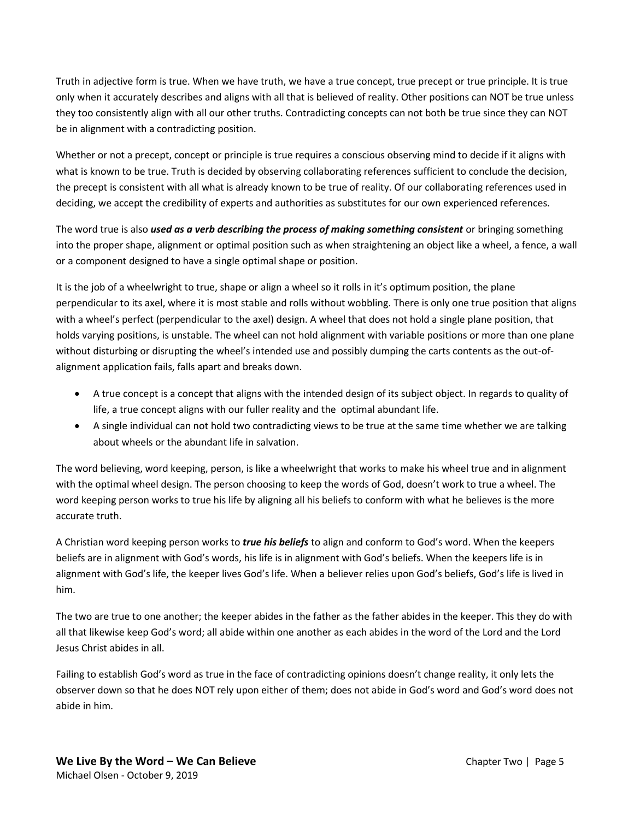Truth in adjective form is true. When we have truth, we have a true concept, true precept or true principle. It is true only when it accurately describes and aligns with all that is believed of reality. Other positions can NOT be true unless they too consistently align with all our other truths. Contradicting concepts can not both be true since they can NOT be in alignment with a contradicting position.

Whether or not a precept, concept or principle is true requires a conscious observing mind to decide if it aligns with what is known to be true. Truth is decided by observing collaborating references sufficient to conclude the decision, the precept is consistent with all what is already known to be true of reality. Of our collaborating references used in deciding, we accept the credibility of experts and authorities as substitutes for our own experienced references.

The word true is also *used as a verb describing the process of making something consistent* or bringing something into the proper shape, alignment or optimal position such as when straightening an object like a wheel, a fence, a wall or a component designed to have a single optimal shape or position.

It is the job of a wheelwright to true, shape or align a wheel so it rolls in it's optimum position, the plane perpendicular to its axel, where it is most stable and rolls without wobbling. There is only one true position that aligns with a wheel's perfect (perpendicular to the axel) design. A wheel that does not hold a single plane position, that holds varying positions, is unstable. The wheel can not hold alignment with variable positions or more than one plane without disturbing or disrupting the wheel's intended use and possibly dumping the carts contents as the out-ofalignment application fails, falls apart and breaks down.

- A true concept is a concept that aligns with the intended design of its subject object. In regards to quality of life, a true concept aligns with our fuller reality and the optimal abundant life.
- A single individual can not hold two contradicting views to be true at the same time whether we are talking about wheels or the abundant life in salvation.

The word believing, word keeping, person, is like a wheelwright that works to make his wheel true and in alignment with the optimal wheel design. The person choosing to keep the words of God, doesn't work to true a wheel. The word keeping person works to true his life by aligning all his beliefs to conform with what he believes is the more accurate truth.

A Christian word keeping person works to *true his beliefs* to align and conform to God's word. When the keepers beliefs are in alignment with God's words, his life is in alignment with God's beliefs. When the keepers life is in alignment with God's life, the keeper lives God's life. When a believer relies upon God's beliefs, God's life is lived in him.

The two are true to one another; the keeper abides in the father as the father abides in the keeper. This they do with all that likewise keep God's word; all abide within one another as each abides in the word of the Lord and the Lord Jesus Christ abides in all.

Failing to establish God's word as true in the face of contradicting opinions doesn't change reality, it only lets the observer down so that he does NOT rely upon either of them; does not abide in God's word and God's word does not abide in him.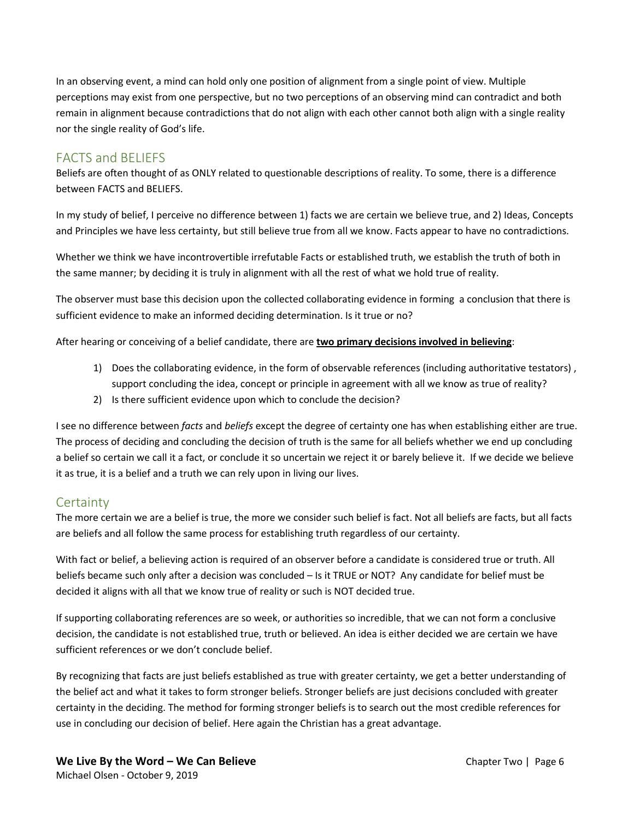In an observing event, a mind can hold only one position of alignment from a single point of view. Multiple perceptions may exist from one perspective, but no two perceptions of an observing mind can contradict and both remain in alignment because contradictions that do not align with each other cannot both align with a single reality nor the single reality of God's life.

# FACTS and BELIEFS

Beliefs are often thought of as ONLY related to questionable descriptions of reality. To some, there is a difference between FACTS and BELIEFS.

In my study of belief, I perceive no difference between 1) facts we are certain we believe true, and 2) Ideas, Concepts and Principles we have less certainty, but still believe true from all we know. Facts appear to have no contradictions.

Whether we think we have incontrovertible irrefutable Facts or established truth, we establish the truth of both in the same manner; by deciding it is truly in alignment with all the rest of what we hold true of reality.

The observer must base this decision upon the collected collaborating evidence in forming a conclusion that there is sufficient evidence to make an informed deciding determination. Is it true or no?

After hearing or conceiving of a belief candidate, there are **two primary decisions involved in believing**:

- 1) Does the collaborating evidence, in the form of observable references (including authoritative testators) , support concluding the idea, concept or principle in agreement with all we know as true of reality?
- 2) Is there sufficient evidence upon which to conclude the decision?

I see no difference between *facts* and *beliefs* except the degree of certainty one has when establishing either are true. The process of deciding and concluding the decision of truth is the same for all beliefs whether we end up concluding a belief so certain we call it a fact, or conclude it so uncertain we reject it or barely believe it. If we decide we believe it as true, it is a belief and a truth we can rely upon in living our lives.

# **Certainty**

The more certain we are a belief is true, the more we consider such belief is fact. Not all beliefs are facts, but all facts are beliefs and all follow the same process for establishing truth regardless of our certainty.

With fact or belief, a believing action is required of an observer before a candidate is considered true or truth. All beliefs became such only after a decision was concluded – Is it TRUE or NOT? Any candidate for belief must be decided it aligns with all that we know true of reality or such is NOT decided true.

If supporting collaborating references are so week, or authorities so incredible, that we can not form a conclusive decision, the candidate is not established true, truth or believed. An idea is either decided we are certain we have sufficient references or we don't conclude belief.

By recognizing that facts are just beliefs established as true with greater certainty, we get a better understanding of the belief act and what it takes to form stronger beliefs. Stronger beliefs are just decisions concluded with greater certainty in the deciding. The method for forming stronger beliefs is to search out the most credible references for use in concluding our decision of belief. Here again the Christian has a great advantage.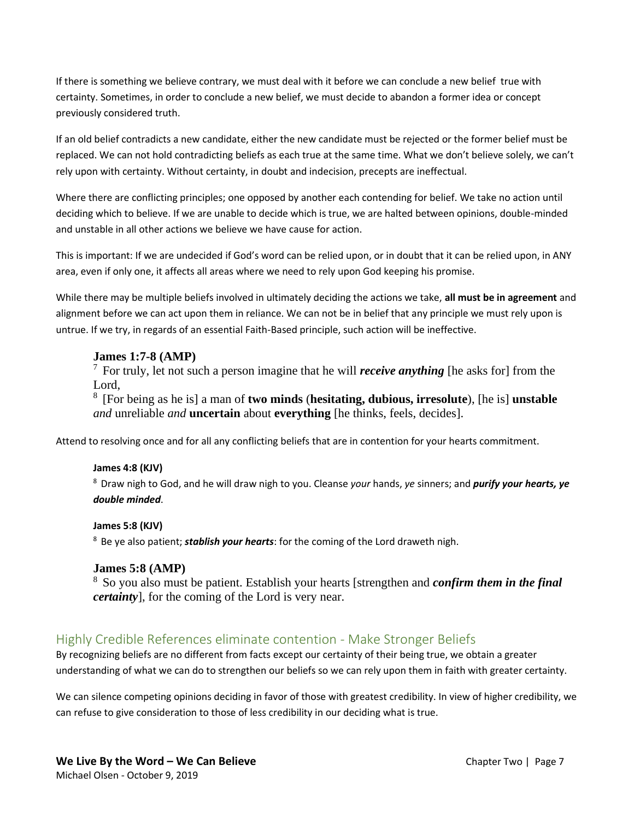If there is something we believe contrary, we must deal with it before we can conclude a new belief true with certainty. Sometimes, in order to conclude a new belief, we must decide to abandon a former idea or concept previously considered truth.

If an old belief contradicts a new candidate, either the new candidate must be rejected or the former belief must be replaced. We can not hold contradicting beliefs as each true at the same time. What we don't believe solely, we can't rely upon with certainty. Without certainty, in doubt and indecision, precepts are ineffectual.

Where there are conflicting principles; one opposed by another each contending for belief. We take no action until deciding which to believe. If we are unable to decide which is true, we are halted between opinions, double-minded and unstable in all other actions we believe we have cause for action.

This is important: If we are undecided if God's word can be relied upon, or in doubt that it can be relied upon, in ANY area, even if only one, it affects all areas where we need to rely upon God keeping his promise.

While there may be multiple beliefs involved in ultimately deciding the actions we take, **all must be in agreement** and alignment before we can act upon them in reliance. We can not be in belief that any principle we must rely upon is untrue. If we try, in regards of an essential Faith-Based principle, such action will be ineffective.

### **James 1:7-8 (AMP)**

<sup>7</sup>For truly, let not such a person imagine that he will *receive anything* [he asks for] from the Lord,

<sup>8</sup>[For being as he is] a man of **two minds** (**hesitating, dubious, irresolute**), [he is] **unstable** *and* unreliable *and* **uncertain** about **everything** [he thinks, feels, decides].

Attend to resolving once and for all any conflicting beliefs that are in contention for your hearts commitment.

### **James 4:8 (KJV)**

<sup>8</sup>Draw nigh to God, and he will draw nigh to you. Cleanse *your* hands, *ye* sinners; and *purify your hearts, ye double minded*.

#### **James 5:8 (KJV)**

<sup>8</sup> Be ye also patient; *stablish your hearts*: for the coming of the Lord draweth nigh.

### **James 5:8 (AMP)**

<sup>8</sup>So you also must be patient. Establish your hearts [strengthen and *confirm them in the final certainty*], for the coming of the Lord is very near.

# Highly Credible References eliminate contention - Make Stronger Beliefs

By recognizing beliefs are no different from facts except our certainty of their being true, we obtain a greater understanding of what we can do to strengthen our beliefs so we can rely upon them in faith with greater certainty.

We can silence competing opinions deciding in favor of those with greatest credibility. In view of higher credibility, we can refuse to give consideration to those of less credibility in our deciding what is true.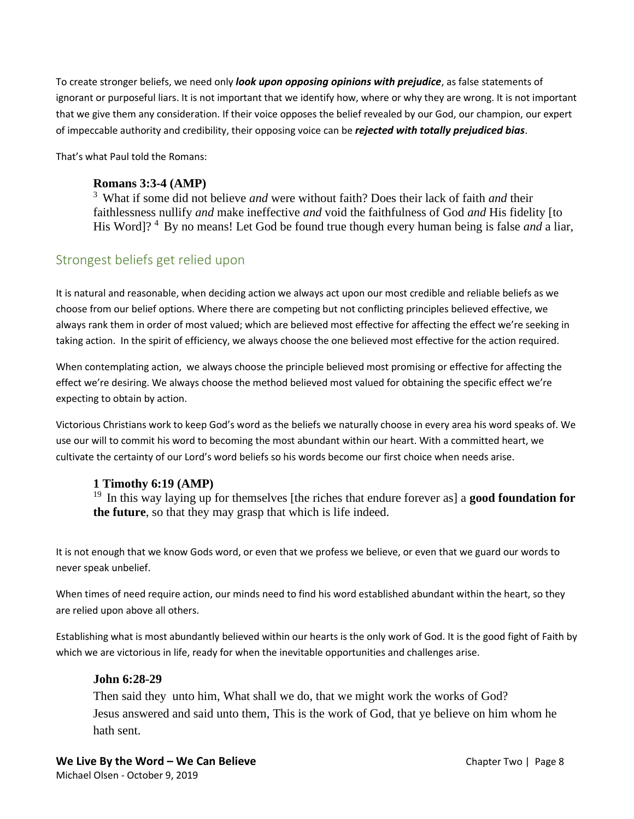To create stronger beliefs, we need only *look upon opposing opinions with prejudice*, as false statements of ignorant or purposeful liars. It is not important that we identify how, where or why they are wrong. It is not important that we give them any consideration. If their voice opposes the belief revealed by our God, our champion, our expert of impeccable authority and credibility, their opposing voice can be *rejected with totally prejudiced bias*.

That's what Paul told the Romans:

### **Romans 3:3-4 (AMP)**

<sup>3</sup>What if some did not believe *and* were without faith? Does their lack of faith *and* their faithlessness nullify *and* make ineffective *and* void the faithfulness of God *and* His fidelity [to His Word]?<sup>4</sup> By no means! Let God be found true though every human being is false *and* a liar,

# Strongest beliefs get relied upon

It is natural and reasonable, when deciding action we always act upon our most credible and reliable beliefs as we choose from our belief options. Where there are competing but not conflicting principles believed effective, we always rank them in order of most valued; which are believed most effective for affecting the effect we're seeking in taking action. In the spirit of efficiency, we always choose the one believed most effective for the action required.

When contemplating action, we always choose the principle believed most promising or effective for affecting the effect we're desiring. We always choose the method believed most valued for obtaining the specific effect we're expecting to obtain by action.

Victorious Christians work to keep God's word as the beliefs we naturally choose in every area his word speaks of. We use our will to commit his word to becoming the most abundant within our heart. With a committed heart, we cultivate the certainty of our Lord's word beliefs so his words become our first choice when needs arise.

# **1 Timothy 6:19 (AMP)**

<sup>19</sup> In this way laying up for themselves [the riches that endure forever as] a **good foundation for the future**, so that they may grasp that which is life indeed.

It is not enough that we know Gods word, or even that we profess we believe, or even that we guard our words to never speak unbelief.

When times of need require action, our minds need to find his word established abundant within the heart, so they are relied upon above all others.

Establishing what is most abundantly believed within our hearts is the only work of God. It is the good fight of Faith by which we are victorious in life, ready for when the inevitable opportunities and challenges arise.

### **John 6:28-29**

Then said they unto him, What shall we do, that we might work the works of God? Jesus answered and said unto them, This is the work of God, that ye believe on him whom he hath sent.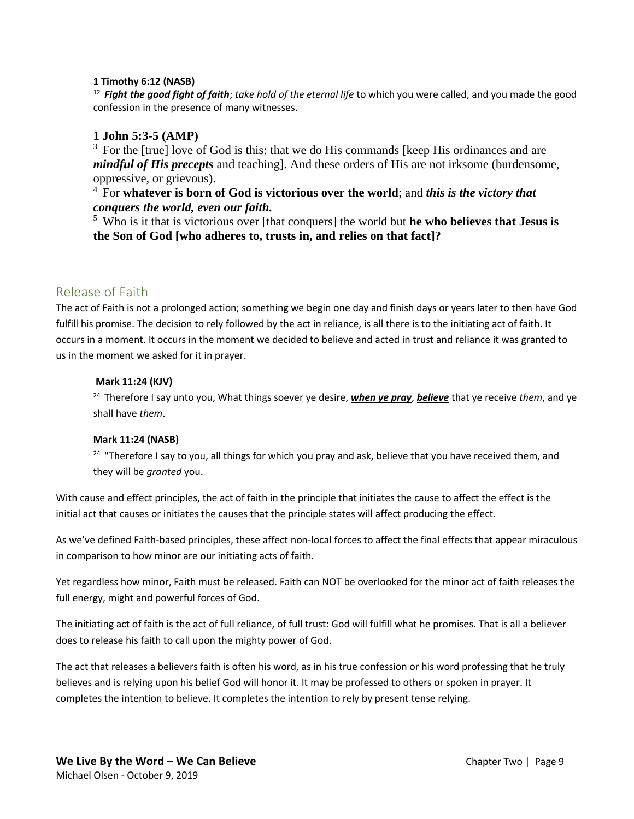#### **1 Timothy 6:12 (NASB)**

<sup>12</sup>*Fight the good fight of faith*; *take hold of the eternal life* to which you were called, and you made the good confession in the presence of many witnesses.

### **1 John 5:3-5 (AMP)**

 $3$  For the [true] love of God is this: that we do His commands [keep His ordinances and are *mindful of His precepts* and teaching]. And these orders of His are not irksome (burdensome, oppressive, or grievous).

<sup>4</sup>For **whatever is born of God is victorious over the world**; and *this is the victory that conquers the world, even our faith.* 

<sup>5</sup>Who is it that is victorious over [that conquers] the world but **he who believes that Jesus is the Son of God [who adheres to, trusts in, and relies on that fact]?**

## Release of Faith

The act of Faith is not a prolonged action; something we begin one day and finish days or years later to then have God fulfill his promise. The decision to rely followed by the act in reliance, is all there is to the initiating act of faith. It occurs in a moment. It occurs in the moment we decided to believe and acted in trust and reliance it was granted to us in the moment we asked for it in prayer.

#### **Mark 11:24 (KJV)**

<sup>24</sup>Therefore I say unto you, What things soever ye desire, *when ye pray*, *believe* that ye receive *them*, and ye shall have *them*.

#### **Mark 11:24 (NASB)**

<sup>24</sup> "Therefore I say to you, all things for which you pray and ask, believe that you have received them, and they will be *granted* you.

With cause and effect principles, the act of faith in the principle that initiates the cause to affect the effect is the initial act that causes or initiates the causes that the principle states will affect producing the effect.

As we've defined Faith-based principles, these affect non-local forces to affect the final effects that appear miraculous in comparison to how minor are our initiating acts of faith.

Yet regardless how minor, Faith must be released. Faith can NOT be overlooked for the minor act of faith releases the full energy, might and powerful forces of God.

The initiating act of faith is the act of full reliance, of full trust: God will fulfill what he promises. That is all a believer does to release his faith to call upon the mighty power of God.

The act that releases a believers faith is often his word, as in his true confession or his word professing that he truly believes and is relying upon his belief God will honor it. It may be professed to others or spoken in prayer. It completes the intention to believe. It completes the intention to rely by present tense relying.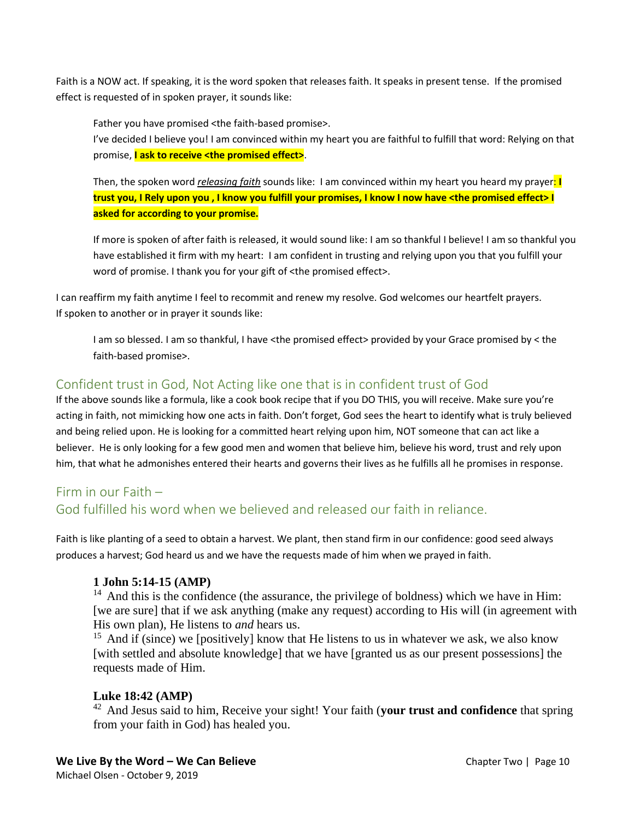Faith is a NOW act. If speaking, it is the word spoken that releases faith. It speaks in present tense. If the promised effect is requested of in spoken prayer, it sounds like:

Father you have promised <the faith-based promise>.

I've decided I believe you! I am convinced within my heart you are faithful to fulfill that word: Relying on that promise, **I ask to receive <the promised effect>**.

Then, the spoken word *releasing faith* sounds like: I am convinced within my heart you heard my prayer: **I trust you, I Rely upon you , I know you fulfill your promises, I know I now have <the promised effect> I asked for according to your promise.**

If more is spoken of after faith is released, it would sound like: I am so thankful I believe! I am so thankful you have established it firm with my heart: I am confident in trusting and relying upon you that you fulfill your word of promise. I thank you for your gift of <the promised effect>.

I can reaffirm my faith anytime I feel to recommit and renew my resolve. God welcomes our heartfelt prayers. If spoken to another or in prayer it sounds like:

I am so blessed. I am so thankful, I have <the promised effect> provided by your Grace promised by < the faith-based promise>.

# Confident trust in God, Not Acting like one that is in confident trust of God

If the above sounds like a formula, like a cook book recipe that if you DO THIS, you will receive. Make sure you're acting in faith, not mimicking how one acts in faith. Don't forget, God sees the heart to identify what is truly believed and being relied upon. He is looking for a committed heart relying upon him, NOT someone that can act like a believer. He is only looking for a few good men and women that believe him, believe his word, trust and rely upon him, that what he admonishes entered their hearts and governs their lives as he fulfills all he promises in response.

# Firm in our Faith – God fulfilled his word when we believed and released our faith in reliance.

Faith is like planting of a seed to obtain a harvest. We plant, then stand firm in our confidence: good seed always produces a harvest; God heard us and we have the requests made of him when we prayed in faith.

### **1 John 5:14-15 (AMP)**

 $14$  And this is the confidence (the assurance, the privilege of boldness) which we have in Him: [we are sure] that if we ask anything (make any request) according to His will (in agreement with His own plan), He listens to *and* hears us.

<sup>15</sup> And if (since) we [positively] know that He listens to us in whatever we ask, we also know [with settled and absolute knowledge] that we have [granted us as our present possessions] the requests made of Him.

### **Luke 18:42 (AMP)**

<sup>42</sup> And Jesus said to him, Receive your sight! Your faith (**your trust and confidence** that spring from your faith in God) has healed you.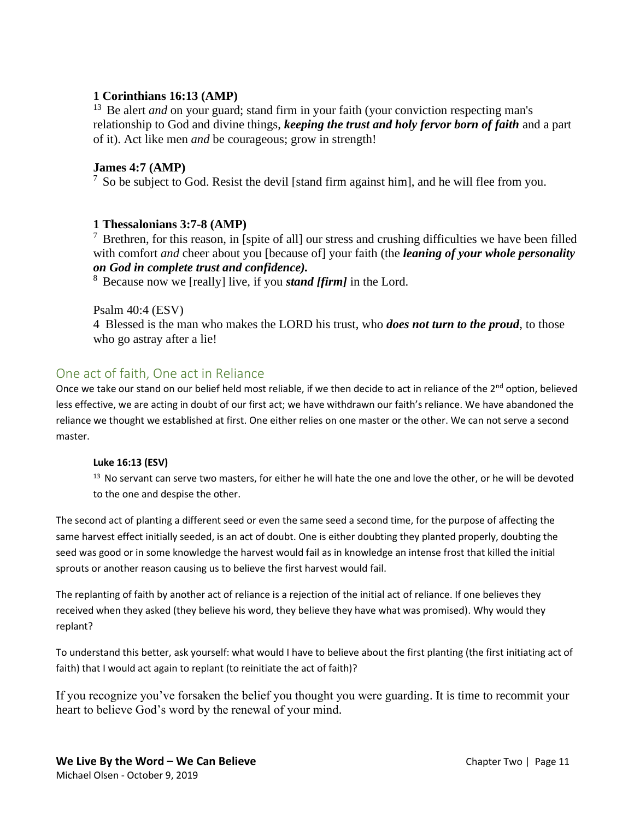### **1 Corinthians 16:13 (AMP)**

<sup>13</sup> Be alert *and* on your guard; stand firm in your faith (your conviction respecting man's relationship to God and divine things, *keeping the trust and holy fervor born of faith* and a part of it). Act like men *and* be courageous; grow in strength!

### **James 4:7 (AMP)**

 $<sup>7</sup>$  So be subject to God. Resist the devil [stand firm against him], and he will flee from you.</sup>

### **1 Thessalonians 3:7-8 (AMP)**

 $\frac{7}{7}$  Brethren, for this reason, in [spite of all] our stress and crushing difficulties we have been filled with comfort *and* cheer about you [because of] your faith (the *leaning of your whole personality on God in complete trust and confidence).* 

<sup>8</sup> Because now we [really] live, if you *stand [firm]* in the Lord.

Psalm 40:4 (ESV)

4 Blessed is the man who makes the LORD his trust, who *does not turn to the proud*, to those who go astray after a lie!

## One act of faith, One act in Reliance

Once we take our stand on our belief held most reliable, if we then decide to act in reliance of the 2<sup>nd</sup> option, believed less effective, we are acting in doubt of our first act; we have withdrawn our faith's reliance. We have abandoned the reliance we thought we established at first. One either relies on one master or the other. We can not serve a second master.

### **Luke 16:13 (ESV)**

 $13$  No servant can serve two masters, for either he will hate the one and love the other, or he will be devoted to the one and despise the other.

The second act of planting a different seed or even the same seed a second time, for the purpose of affecting the same harvest effect initially seeded, is an act of doubt. One is either doubting they planted properly, doubting the seed was good or in some knowledge the harvest would fail as in knowledge an intense frost that killed the initial sprouts or another reason causing us to believe the first harvest would fail.

The replanting of faith by another act of reliance is a rejection of the initial act of reliance. If one believes they received when they asked (they believe his word, they believe they have what was promised). Why would they replant?

To understand this better, ask yourself: what would I have to believe about the first planting (the first initiating act of faith) that I would act again to replant (to reinitiate the act of faith)?

If you recognize you've forsaken the belief you thought you were guarding. It is time to recommit your heart to believe God's word by the renewal of your mind.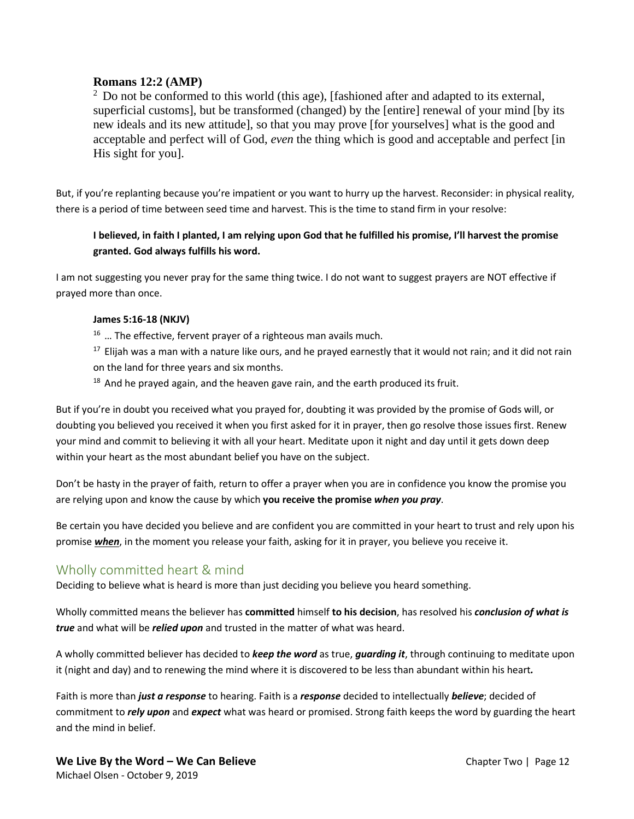### **Romans 12:2 (AMP)**

 $<sup>2</sup>$  Do not be conformed to this world (this age), [fashioned after and adapted to its external,</sup> superficial customs], but be transformed (changed) by the [entire] renewal of your mind [by its new ideals and its new attitude], so that you may prove [for yourselves] what is the good and acceptable and perfect will of God, *even* the thing which is good and acceptable and perfect [in His sight for you].

But, if you're replanting because you're impatient or you want to hurry up the harvest. Reconsider: in physical reality, there is a period of time between seed time and harvest. This is the time to stand firm in your resolve:

### **I believed, in faith I planted, I am relying upon God that he fulfilled his promise, I'll harvest the promise granted. God always fulfills his word.**

I am not suggesting you never pray for the same thing twice. I do not want to suggest prayers are NOT effective if prayed more than once.

#### **James 5:16-18 (NKJV)**

 $16$  ... The effective, fervent prayer of a righteous man avails much.

 $17$  Elijah was a man with a nature like ours, and he prayed earnestly that it would not rain; and it did not rain on the land for three years and six months.

 $18$  And he prayed again, and the heaven gave rain, and the earth produced its fruit.

But if you're in doubt you received what you prayed for, doubting it was provided by the promise of Gods will, or doubting you believed you received it when you first asked for it in prayer, then go resolve those issues first. Renew your mind and commit to believing it with all your heart. Meditate upon it night and day until it gets down deep within your heart as the most abundant belief you have on the subject.

Don't be hasty in the prayer of faith, return to offer a prayer when you are in confidence you know the promise you are relying upon and know the cause by which **you receive the promise** *when you pray*.

Be certain you have decided you believe and are confident you are committed in your heart to trust and rely upon his promise *when*, in the moment you release your faith, asking for it in prayer, you believe you receive it.

# Wholly committed heart & mind

Deciding to believe what is heard is more than just deciding you believe you heard something.

Wholly committed means the believer has **committed** himself **to his decision**, has resolved his *conclusion of what is true* and what will be *relied upon* and trusted in the matter of what was heard.

A wholly committed believer has decided to *keep the word* as true, *guarding it*, through continuing to meditate upon it (night and day) and to renewing the mind where it is discovered to be less than abundant within his heart*.*

Faith is more than *just a response* to hearing. Faith is a *response* decided to intellectually *believe*; decided of commitment to *rely upon* and *expect* what was heard or promised. Strong faith keeps the word by guarding the heart and the mind in belief.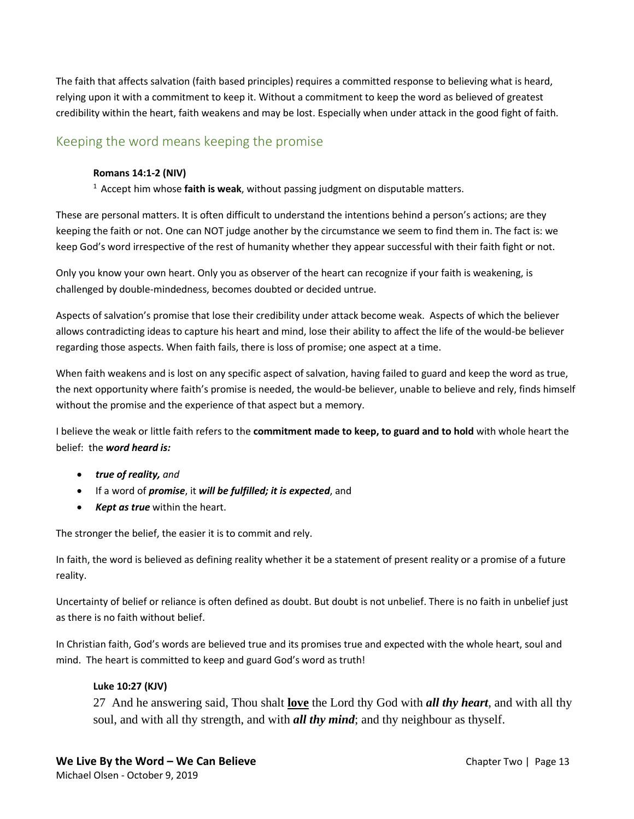The faith that affects salvation (faith based principles) requires a committed response to believing what is heard, relying upon it with a commitment to keep it. Without a commitment to keep the word as believed of greatest credibility within the heart, faith weakens and may be lost. Especially when under attack in the good fight of faith.

# Keeping the word means keeping the promise

### **Romans 14:1-2 (NIV)**

<sup>1</sup> Accept him whose **faith is weak**, without passing judgment on disputable matters.

These are personal matters. It is often difficult to understand the intentions behind a person's actions; are they keeping the faith or not. One can NOT judge another by the circumstance we seem to find them in. The fact is: we keep God's word irrespective of the rest of humanity whether they appear successful with their faith fight or not.

Only you know your own heart. Only you as observer of the heart can recognize if your faith is weakening, is challenged by double-mindedness, becomes doubted or decided untrue.

Aspects of salvation's promise that lose their credibility under attack become weak. Aspects of which the believer allows contradicting ideas to capture his heart and mind, lose their ability to affect the life of the would-be believer regarding those aspects. When faith fails, there is loss of promise; one aspect at a time.

When faith weakens and is lost on any specific aspect of salvation, having failed to guard and keep the word as true, the next opportunity where faith's promise is needed, the would-be believer, unable to believe and rely, finds himself without the promise and the experience of that aspect but a memory.

I believe the weak or little faith refers to the **commitment made to keep, to guard and to hold** with whole heart the belief: the *word heard is:*

- *true of reality, and*
- If a word of *promise*, it *will be fulfilled; it is expected*, and
- *Kept as true* within the heart.

The stronger the belief, the easier it is to commit and rely.

In faith, the word is believed as defining reality whether it be a statement of present reality or a promise of a future reality.

Uncertainty of belief or reliance is often defined as doubt. But doubt is not unbelief. There is no faith in unbelief just as there is no faith without belief.

In Christian faith, God's words are believed true and its promises true and expected with the whole heart, soul and mind. The heart is committed to keep and guard God's word as truth!

### **Luke 10:27 (KJV)**

27 And he answering said, Thou shalt **love** the Lord thy God with *all thy heart*, and with all thy soul, and with all thy strength, and with *all thy mind*; and thy neighbour as thyself.